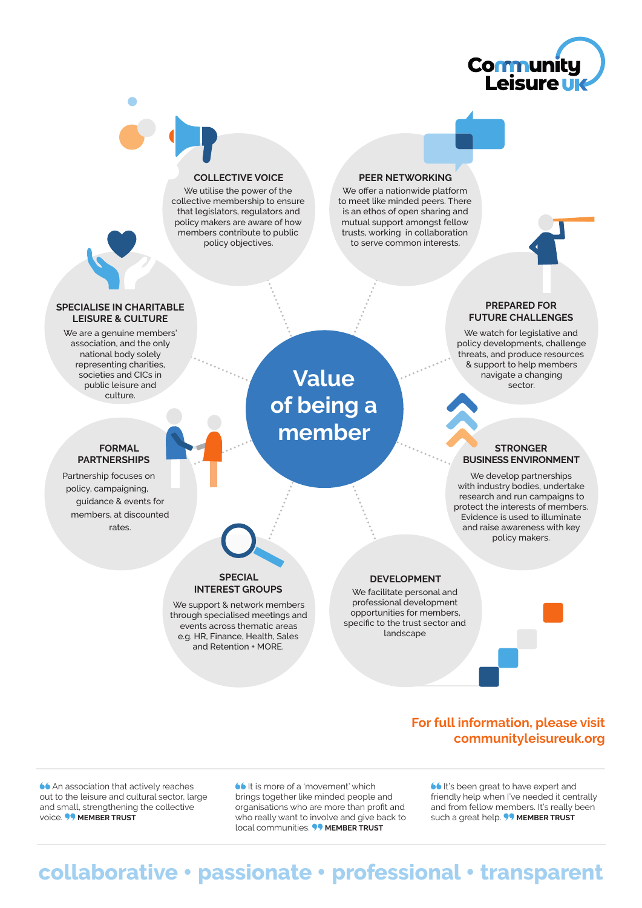



#### **COLLECTIVE VOICE**

We utilise the power of the collective membership to ensure that legislators, regulators and policy makers are aware of how members contribute to public policy objectives.

#### **PEER NETWORKING**

We offer a nationwide platform to meet like minded peers. There is an ethos of open sharing and mutual support amongst fellow trusts, working in collaboration to serve common interests.



We watch for legislative and policy developments, challenge threats, and produce resources & support to help members navigate a changing sector.

#### **STRONGER BUSINESS ENVIRONMENT**

We develop partnerships with industry bodies, undertake research and run campaigns to protect the interests of members. Evidence is used to illuminate and raise awareness with key policy makers.

#### **SPECIALISE IN CHARITABLE LEISURE & CULTURE**

We are a genuine members' association, and the only national body solely representing charities, societies and CICs in public leisure and culture.

#### **FORMAL PARTNERSHIPS**

Partnership focuses on policy, campaigning, guidance & events for members, at discounted rates.

**Value of being a member**

# **SPECIAL INTEREST GROUPS**

We support & network members through specialised meetings and events across thematic areas e.g. HR, Finance, Health, Sales and Retention + MORE.

#### **DEVELOPMENT**

We facilitate personal and professional development opportunities for members, specific to the trust sector and

landscape

## **For full information, please visit [communityleisureuk.org](http://communityleisureuk.org)**

**66** An association that actively reaches out to the leisure and cultural sector, large and small, strengthening the collective voice. **99 MEMBER TRUST** 

**66** It is more of a 'movement' which brings together like minded people and organisations who are more than profit and who really want to involve and give back to local communities. **99 MEMBER TRUST** 

**It's been great to have expert and** friendly help when I've needed it centrally and from fellow members. It's really been such a great help. **WEMBER TRUST** 

# **collaborative** • **passionate** • **professional** • **transparent**